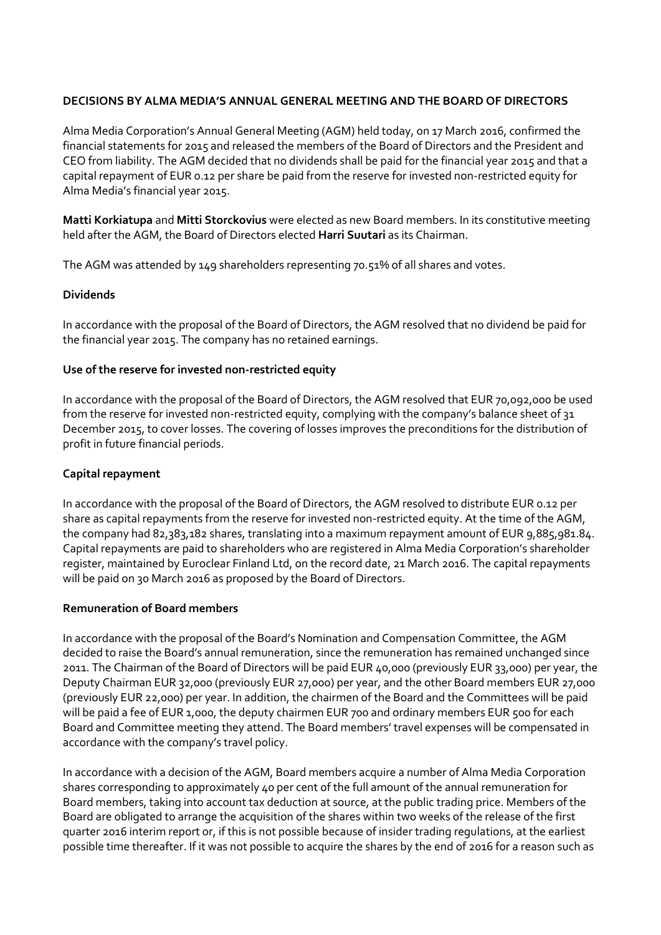### **DECISIONS BY ALMA MEDIA'S ANNUAL GENERAL MEETING AND THE BOARD OF DIRECTORS**

Alma Media Corporation's Annual General Meeting (AGM) held today, on 17 March 2016, confirmed the financial statements for 2015 and released the members of the Board of Directors and the President and CEO from liability. The AGM decided that no dividends shall be paid for the financial year 2015 and that a capital repayment of EUR 0.12 per share be paid from the reserve for invested non-restricted equity for Alma Media's financial year 2015.

**Matti Korkiatupa** and **Mitti Storckovius** were elected as new Board members. In its constitutive meeting held after the AGM, the Board of Directors elected **Harri Suutari** as its Chairman.

The AGM was attended by 149 shareholders representing 70.51% of all shares and votes.

# **Dividends**

In accordance with the proposal of the Board of Directors, the AGM resolved that no dividend be paid for the financial year 2015. The company has no retained earnings.

# **Use of the reserve for invested non-restricted equity**

In accordance with the proposal of the Board of Directors, the AGM resolved that EUR 70,092,000 be used from the reserve for invested non-restricted equity, complying with the company's balance sheet of 31 December 2015, to cover losses. The covering of losses improves the preconditions for the distribution of profit in future financial periods.

# **Capital repayment**

In accordance with the proposal of the Board of Directors, the AGM resolved to distribute EUR 0.12 per share as capital repayments from the reserve for invested non-restricted equity. At the time of the AGM, the company had 82,383,182 shares, translating into a maximum repayment amount of EUR 9,885,981.84. Capital repayments are paid to shareholders who are registered in Alma Media Corporation's shareholder register, maintained by Euroclear Finland Ltd, on the record date, 21 March 2016. The capital repayments will be paid on 30 March 2016 as proposed by the Board of Directors.

### **Remuneration of Board members**

In accordance with the proposal of the Board's Nomination and Compensation Committee, the AGM decided to raise the Board's annual remuneration, since the remuneration has remained unchanged since 2011. The Chairman of the Board of Directors will be paid EUR 40,000 (previously EUR 33,000) per year, the Deputy Chairman EUR 32,000 (previously EUR 27,000) per year, and the other Board members EUR 27,000 (previously EUR 22,000) per year. In addition, the chairmen of the Board and the Committees will be paid will be paid a fee of EUR 1,000, the deputy chairmen EUR 700 and ordinary members EUR 500 for each Board and Committee meeting they attend. The Board members' travel expenses will be compensated in accordance with the company's travel policy.

In accordance with a decision of the AGM, Board members acquire a number of Alma Media Corporation shares corresponding to approximately 40 per cent of the full amount of the annual remuneration for Board members, taking into account tax deduction at source, at the public trading price. Members of the Board are obligated to arrange the acquisition of the shares within two weeks of the release of the first quarter 2016 interim report or, if this is not possible because of insider trading regulations, at the earliest possible time thereafter. If it was not possible to acquire the shares by the end of 2016 for a reason such as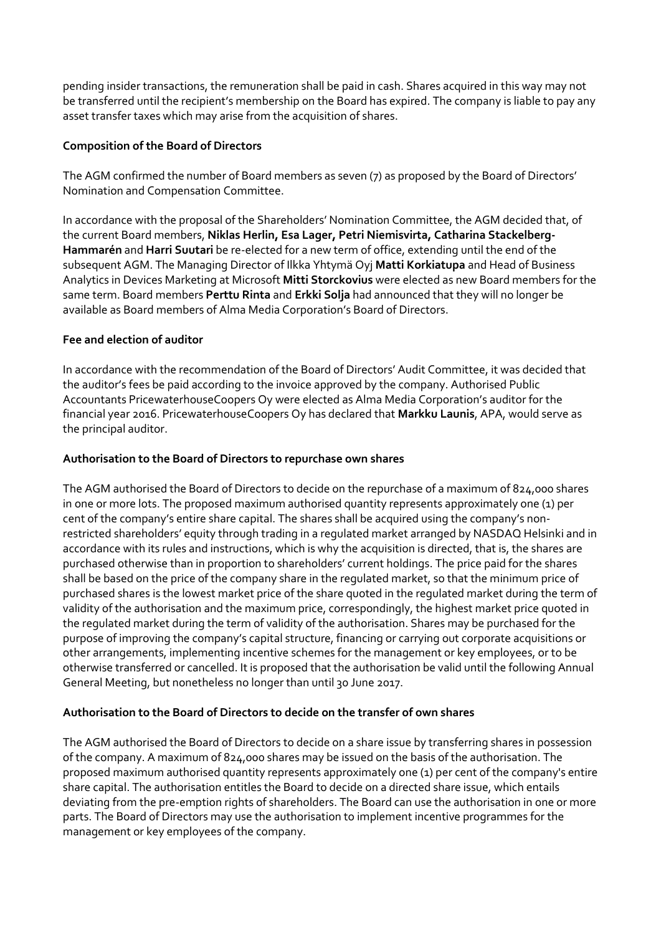pending insider transactions, the remuneration shall be paid in cash. Shares acquired in this way may not be transferred until the recipient's membership on the Board has expired. The company is liable to pay any asset transfer taxes which may arise from the acquisition of shares.

### **Composition of the Board of Directors**

The AGM confirmed the number of Board members as seven (7) as proposed by the Board of Directors' Nomination and Compensation Committee.

In accordance with the proposal of the Shareholders' Nomination Committee, the AGM decided that, of the current Board members, **Niklas Herlin, Esa Lager, Petri Niemisvirta, Catharina Stackelberg-Hammarén** and **Harri Suutari** be re-elected for a new term of office, extending until the end of the subsequent AGM. The Managing Director of Ilkka Yhtymä Oyj **Matti Korkiatupa** and Head of Business Analytics in Devices Marketing at Microsoft **Mitti Storckovius** were elected as new Board members for the same term. Board members **Perttu Rinta** and **Erkki Solja** had announced that they will no longer be available as Board members of Alma Media Corporation's Board of Directors.

# **Fee and election of auditor**

In accordance with the recommendation of the Board of Directors' Audit Committee, it was decided that the auditor's fees be paid according to the invoice approved by the company. Authorised Public Accountants PricewaterhouseCoopers Oy were elected as Alma Media Corporation's auditor for the financial year 2016. PricewaterhouseCoopers Oy has declared that **Markku Launis**, APA, would serve as the principal auditor.

### **Authorisation to the Board of Directors to repurchase own shares**

The AGM authorised the Board of Directors to decide on the repurchase of a maximum of 824,000 shares in one or more lots. The proposed maximum authorised quantity represents approximately one (1) per cent of the company's entire share capital. The shares shall be acquired using the company's nonrestricted shareholders' equity through trading in a regulated market arranged by NASDAQ Helsinki and in accordance with its rules and instructions, which is why the acquisition is directed, that is, the shares are purchased otherwise than in proportion to shareholders' current holdings. The price paid for the shares shall be based on the price of the company share in the regulated market, so that the minimum price of purchased shares is the lowest market price of the share quoted in the regulated market during the term of validity of the authorisation and the maximum price, correspondingly, the highest market price quoted in the regulated market during the term of validity of the authorisation. Shares may be purchased for the purpose of improving the company's capital structure, financing or carrying out corporate acquisitions or other arrangements, implementing incentive schemes for the management or key employees, or to be otherwise transferred or cancelled. It is proposed that the authorisation be valid until the following Annual General Meeting, but nonetheless no longer than until 30 June 2017.

### **Authorisation to the Board of Directors to decide on the transfer of own shares**

The AGM authorised the Board of Directors to decide on a share issue by transferring shares in possession of the company. A maximum of 824,000 shares may be issued on the basis of the authorisation. The proposed maximum authorised quantity represents approximately one (1) per cent of the company's entire share capital. The authorisation entitles the Board to decide on a directed share issue, which entails deviating from the pre-emption rights of shareholders. The Board can use the authorisation in one or more parts. The Board of Directors may use the authorisation to implement incentive programmes for the management or key employees of the company.